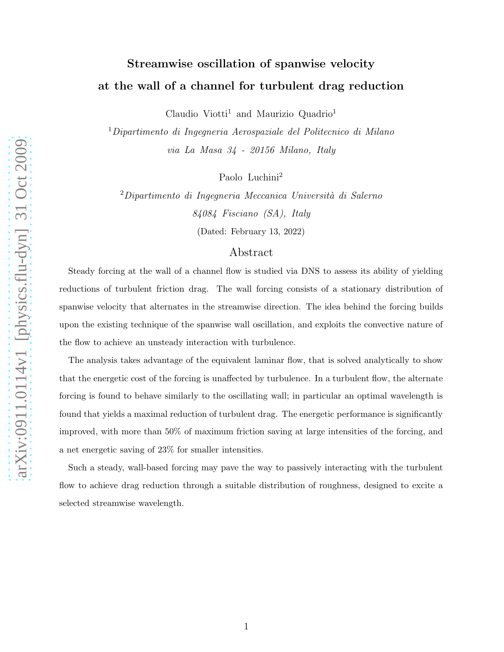# Streamwise oscillation of spanwise velocity at the wall of a channel for turbulent drag reduction

Claudio Viotti<sup>1</sup> and Maurizio Quadrio<sup>1</sup>

<sup>1</sup>Dipartimento di Ingegneria Aerospaziale del Politecnico di Milano via La Masa 34 - 20156 Milano, Italy

Paolo Luchini<sup>2</sup>

 $2$ Dipartimento di Ingegneria Meccanica Università di Salerno 84084 Fisciano (SA), Italy

(Dated: February 13, 2022)

# Abstract

Steady forcing at the wall of a channel flow is studied via DNS to assess its ability of yielding reductions of turbulent friction drag. The wall forcing consists of a stationary distribution of spanwise velocity that alternates in the streamwise direction. The idea behind the forcing builds upon the existing technique of the spanwise wall oscillation, and exploits the convective nature of the flow to achieve an unsteady interaction with turbulence.

The analysis takes advantage of the equivalent laminar flow, that is solved analytically to show that the energetic cost of the forcing is unaffected by turbulence. In a turbulent flow, the alternate forcing is found to behave similarly to the oscillating wall; in particular an optimal wavelength is found that yields a maximal reduction of turbulent drag. The energetic performance is significantly improved, with more than 50% of maximum friction saving at large intensities of the forcing, and a net energetic saving of 23% for smaller intensities.

Such a steady, wall-based forcing may pave the way to passively interacting with the turbulent flow to achieve drag reduction through a suitable distribution of roughness, designed to excite a selected streamwise wavelength.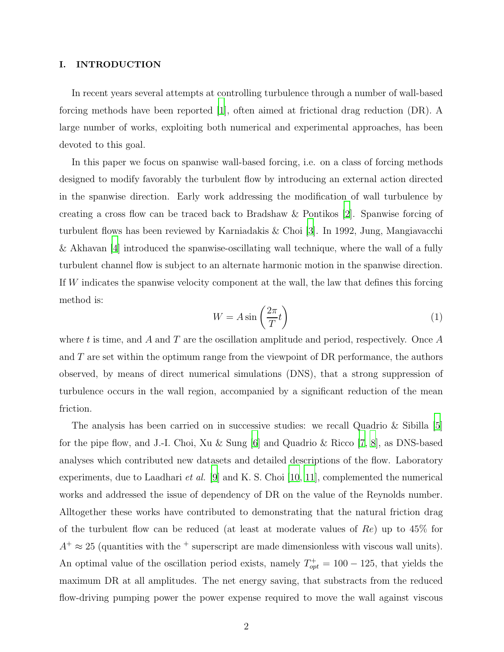# I. INTRODUCTION

In recent years several attempts at controlling turbulence through a number of wall-based forcing methods have been reported [\[1](#page-22-0)], often aimed at frictional drag reduction (DR). A large number of works, exploiting both numerical and experimental approaches, has been devoted to this goal.

In this paper we focus on spanwise wall-based forcing, i.e. on a class of forcing methods designed to modify favorably the turbulent flow by introducing an external action directed in the spanwise direction. Early work addressing the modification of wall turbulence by creating a cross flow can be traced back to Bradshaw & Pontikos [\[2](#page-22-1)]. Spanwise forcing of turbulent flows has been reviewed by Karniadakis & Choi [\[3\]](#page-22-2). In 1992, Jung, Mangiavacchi & Akhavan [\[4](#page-22-3)] introduced the spanwise-oscillating wall technique, where the wall of a fully turbulent channel flow is subject to an alternate harmonic motion in the spanwise direction. If W indicates the spanwise velocity component at the wall, the law that defines this forcing method is:

<span id="page-1-0"></span>
$$
W = A \sin\left(\frac{2\pi}{T}t\right) \tag{1}
$$

where t is time, and A and T are the oscillation amplitude and period, respectively. Once A and  $T$  are set within the optimum range from the viewpoint of DR performance, the authors observed, by means of direct numerical simulations (DNS), that a strong suppression of turbulence occurs in the wall region, accompanied by a significant reduction of the mean friction.

The analysis has been carried on in successive studies: we recall Quadrio & Sibilla  $[5]$ for the pipe flow, and J.-I. Choi, Xu & Sung [\[6](#page-22-5)] and Quadrio & Ricco [\[7](#page-22-6), [8](#page-22-7)], as DNS-based analyses which contributed new datasets and detailed descriptions of the flow. Laboratory experiments, due to Laadhari et al. [\[9](#page-23-0)] and K. S. Choi [\[10](#page-23-1), [11\]](#page-23-2), complemented the numerical works and addressed the issue of dependency of DR on the value of the Reynolds number. Alltogether these works have contributed to demonstrating that the natural friction drag of the turbulent flow can be reduced (at least at moderate values of  $Re$ ) up to 45% for  $A^+ \approx 25$  (quantities with the <sup>+</sup> superscript are made dimensionless with viscous wall units). An optimal value of the oscillation period exists, namely  $T_{opt}^+ = 100 - 125$ , that yields the maximum DR at all amplitudes. The net energy saving, that substracts from the reduced flow-driving pumping power the power expense required to move the wall against viscous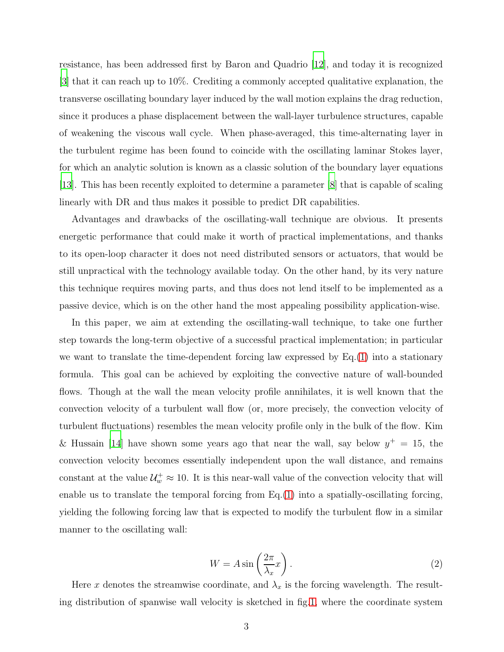resistance, has been addressed first by Baron and Quadrio [\[12](#page-23-3)], and today it is recognized [\[3](#page-22-2)] that it can reach up to 10%. Crediting a commonly accepted qualitative explanation, the transverse oscillating boundary layer induced by the wall motion explains the drag reduction, since it produces a phase displacement between the wall-layer turbulence structures, capable of weakening the viscous wall cycle. When phase-averaged, this time-alternating layer in the turbulent regime has been found to coincide with the oscillating laminar Stokes layer, for which an analytic solution is known as a classic solution of the boundary layer equations [\[13\]](#page-23-4). This has been recently exploited to determine a parameter [\[8\]](#page-22-7) that is capable of scaling linearly with DR and thus makes it possible to predict DR capabilities.

Advantages and drawbacks of the oscillating-wall technique are obvious. It presents energetic performance that could make it worth of practical implementations, and thanks to its open-loop character it does not need distributed sensors or actuators, that would be still unpractical with the technology available today. On the other hand, by its very nature this technique requires moving parts, and thus does not lend itself to be implemented as a passive device, which is on the other hand the most appealing possibility application-wise.

In this paper, we aim at extending the oscillating-wall technique, to take one further step towards the long-term objective of a successful practical implementation; in particular we want to translate the time-dependent forcing law expressed by Eq.[\(1\)](#page-1-0) into a stationary formula. This goal can be achieved by exploiting the convective nature of wall-bounded flows. Though at the wall the mean velocity profile annihilates, it is well known that the convection velocity of a turbulent wall flow (or, more precisely, the convection velocity of turbulent fluctuations) resembles the mean velocity profile only in the bulk of the flow. Kim & Hussain [\[14\]](#page-23-5) have shown some years ago that near the wall, say below  $y^+ = 15$ , the convection velocity becomes essentially independent upon the wall distance, and remains constant at the value  $\mathcal{U}_w^+ \approx 10$ . It is this near-wall value of the convection velocity that will enable us to translate the temporal forcing from Eq.[\(1\)](#page-1-0) into a spatially-oscillating forcing, yielding the following forcing law that is expected to modify the turbulent flow in a similar manner to the oscillating wall:

<span id="page-2-0"></span>
$$
W = A \sin\left(\frac{2\pi}{\lambda_x}x\right). \tag{2}
$$

Here x denotes the streamwise coordinate, and  $\lambda_x$  is the forcing wavelength. The resulting distribution of spanwise wall velocity is sketched in fig[.1,](#page-3-0) where the coordinate system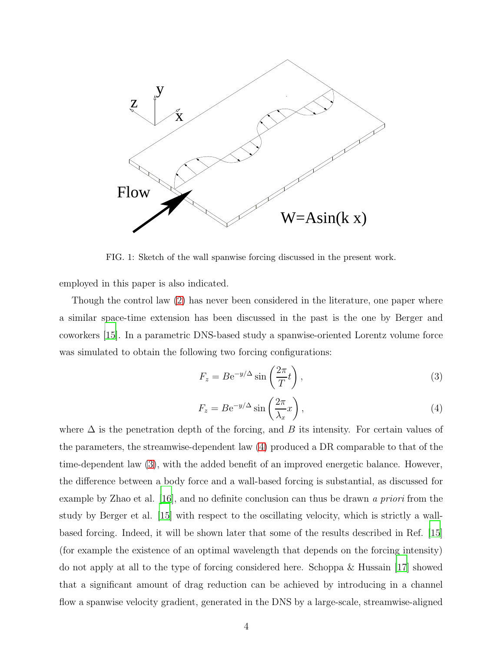

<span id="page-3-0"></span>FIG. 1: Sketch of the wall spanwise forcing discussed in the present work.

employed in this paper is also indicated.

Though the control law [\(2\)](#page-2-0) has never been considered in the literature, one paper where a similar space-time extension has been discussed in the past is the one by Berger and coworkers [\[15](#page-23-6)]. In a parametric DNS-based study a spanwise-oriented Lorentz volume force was simulated to obtain the following two forcing configurations:

<span id="page-3-2"></span>
$$
F_z = Be^{-y/\Delta} \sin\left(\frac{2\pi}{T}t\right),\tag{3}
$$

<span id="page-3-1"></span>
$$
F_z = Be^{-y/\Delta} \sin\left(\frac{2\pi}{\lambda_x}x\right),\tag{4}
$$

where  $\Delta$  is the penetration depth of the forcing, and B its intensity. For certain values of the parameters, the streamwise-dependent law [\(4\)](#page-3-1) produced a DR comparable to that of the time-dependent law [\(3\)](#page-3-2), with the added benefit of an improved energetic balance. However, the difference between a body force and a wall-based forcing is substantial, as discussed for example by Zhao et al. [\[16](#page-23-7)], and no definite conclusion can thus be drawn a priori from the study by Berger et al. [\[15](#page-23-6)] with respect to the oscillating velocity, which is strictly a wallbased forcing. Indeed, it will be shown later that some of the results described in Ref. [\[15\]](#page-23-6) (for example the existence of an optimal wavelength that depends on the forcing intensity) do not apply at all to the type of forcing considered here. Schoppa & Hussain [\[17](#page-23-8)] showed that a significant amount of drag reduction can be achieved by introducing in a channel flow a spanwise velocity gradient, generated in the DNS by a large-scale, streamwise-aligned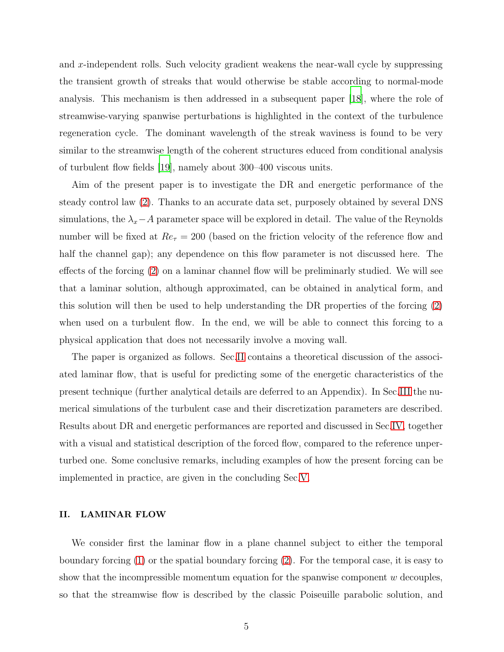and x-independent rolls. Such velocity gradient weakens the near-wall cycle by suppressing the transient growth of streaks that would otherwise be stable according to normal-mode analysis. This mechanism is then addressed in a subsequent paper [\[18\]](#page-23-9), where the role of streamwise-varying spanwise perturbations is highlighted in the context of the turbulence regeneration cycle. The dominant wavelength of the streak waviness is found to be very similar to the streamwise length of the coherent structures educed from conditional analysis of turbulent flow fields [\[19](#page-23-10)], namely about 300–400 viscous units.

Aim of the present paper is to investigate the DR and energetic performance of the steady control law [\(2\)](#page-2-0). Thanks to an accurate data set, purposely obtained by several DNS simulations, the  $\lambda_x$ −A parameter space will be explored in detail. The value of the Reynolds number will be fixed at  $Re_\tau = 200$  (based on the friction velocity of the reference flow and half the channel gap); any dependence on this flow parameter is not discussed here. The effects of the forcing [\(2\)](#page-2-0) on a laminar channel flow will be preliminarly studied. We will see that a laminar solution, although approximated, can be obtained in analytical form, and this solution will then be used to help understanding the DR properties of the forcing [\(2\)](#page-2-0) when used on a turbulent flow. In the end, we will be able to connect this forcing to a physical application that does not necessarily involve a moving wall.

The paper is organized as follows. Sec[.II](#page-4-0) contains a theoretical discussion of the associated laminar flow, that is useful for predicting some of the energetic characteristics of the present technique (further analytical details are deferred to an Appendix). In Sec[.III](#page-8-0) the numerical simulations of the turbulent case and their discretization parameters are described. Results about DR and energetic performances are reported and discussed in Sec[.IV,](#page-9-0) together with a visual and statistical description of the forced flow, compared to the reference unperturbed one. Some conclusive remarks, including examples of how the present forcing can be implemented in practice, are given in the concluding Sec[.V.](#page-18-0)

#### <span id="page-4-0"></span>II. LAMINAR FLOW

We consider first the laminar flow in a plane channel subject to either the temporal boundary forcing [\(1\)](#page-1-0) or the spatial boundary forcing [\(2\)](#page-2-0). For the temporal case, it is easy to show that the incompressible momentum equation for the spanwise component  $w$  decouples, so that the streamwise flow is described by the classic Poiseuille parabolic solution, and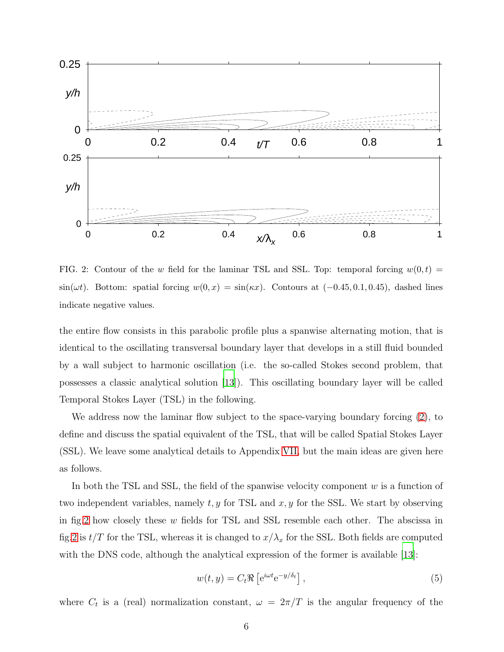

<span id="page-5-0"></span>FIG. 2: Contour of the w field for the laminar TSL and SSL. Top: temporal forcing  $w(0,t)$  =  $\sin(\omega t)$ . Bottom: spatial forcing  $w(0, x) = \sin(\kappa x)$ . Contours at  $(-0.45, 0.1, 0.45)$ , dashed lines indicate negative values.

the entire flow consists in this parabolic profile plus a spanwise alternating motion, that is identical to the oscillating transversal boundary layer that develops in a still fluid bounded by a wall subject to harmonic oscillation (i.e. the so-called Stokes second problem, that possesses a classic analytical solution [\[13\]](#page-23-4)). This oscillating boundary layer will be called Temporal Stokes Layer (TSL) in the following.

We address now the laminar flow subject to the space-varying boundary forcing [\(2\)](#page-2-0), to define and discuss the spatial equivalent of the TSL, that will be called Spatial Stokes Layer (SSL). We leave some analytical details to Appendix [VII,](#page-19-0) but the main ideas are given here as follows.

In both the TSL and SSL, the field of the spanwise velocity component  $w$  is a function of two independent variables, namely  $t, y$  for TSL and  $x, y$  for the SSL. We start by observing in fig[.2](#page-5-0) how closely these  $w$  fields for TSL and SSL resemble each other. The abscissa in fig[.2](#page-5-0) is  $t/T$  for the TSL, whereas it is changed to  $x/\lambda_x$  for the SSL. Both fields are computed with the DNS code, although the analytical expression of the former is available [\[13\]](#page-23-4):

<span id="page-5-1"></span>
$$
w(t, y) = C_t \Re \left[ e^{i\omega t} e^{-y/\delta_t} \right], \qquad (5)
$$

where  $C_t$  is a (real) normalization constant,  $\omega = 2\pi/T$  is the angular frequency of the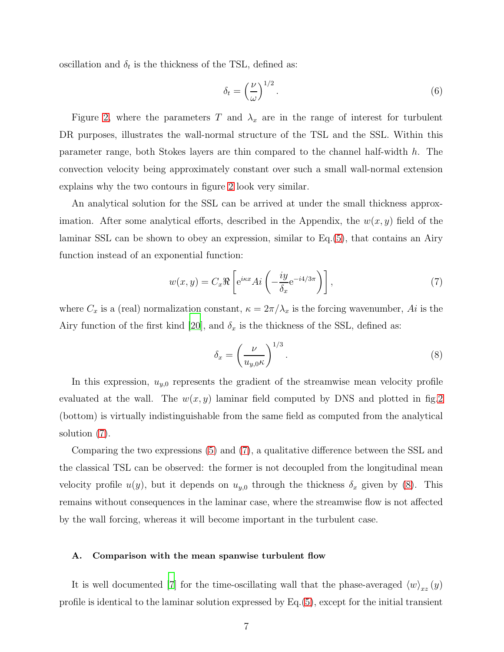oscillation and  $\delta_t$  is the thickness of the TSL, defined as:

$$
\delta_t = \left(\frac{\nu}{\omega}\right)^{1/2}.\tag{6}
$$

Figure [2,](#page-5-0) where the parameters T and  $\lambda_x$  are in the range of interest for turbulent DR purposes, illustrates the wall-normal structure of the TSL and the SSL. Within this parameter range, both Stokes layers are thin compared to the channel half-width h. The convection velocity being approximately constant over such a small wall-normal extension explains why the two contours in figure [2](#page-5-0) look very similar.

An analytical solution for the SSL can be arrived at under the small thickness approximation. After some analytical efforts, described in the Appendix, the  $w(x, y)$  field of the laminar SSL can be shown to obey an expression, similar to Eq.[\(5\)](#page-5-1), that contains an Airy function instead of an exponential function:

<span id="page-6-0"></span>
$$
w(x,y) = C_x \Re \left[ e^{i\kappa x} Ai \left( -\frac{iy}{\delta_x} e^{-i4/3\pi} \right) \right],
$$
 (7)

where  $C_x$  is a (real) normalization constant,  $\kappa = 2\pi/\lambda_x$  is the forcing wavenumber, Ai is the Airy function of the first kind [\[20](#page-23-11)], and  $\delta_x$  is the thickness of the SSL, defined as:

<span id="page-6-1"></span>
$$
\delta_x = \left(\frac{\nu}{u_{y,0}\kappa}\right)^{1/3}.\tag{8}
$$

In this expression,  $u_{y,0}$  represents the gradient of the streamwise mean velocity profile evaluated at the wall. The  $w(x, y)$  laminar field computed by DNS and plotted in fig. 2 (bottom) is virtually indistinguishable from the same field as computed from the analytical solution [\(7\)](#page-6-0).

Comparing the two expressions [\(5\)](#page-5-1) and [\(7\)](#page-6-0), a qualitative difference between the SSL and the classical TSL can be observed: the former is not decoupled from the longitudinal mean velocity profile  $u(y)$ , but it depends on  $u_{y,0}$  through the thickness  $\delta_x$  given by [\(8\)](#page-6-1). This remains without consequences in the laminar case, where the streamwise flow is not affected by the wall forcing, whereas it will become important in the turbulent case.

#### A. Comparison with the mean spanwise turbulent flow

It is well documented [\[7\]](#page-22-6) for the time-oscillating wall that the phase-averaged  $\langle w \rangle_{xz} (y)$ profile is identical to the laminar solution expressed by Eq.[\(5\)](#page-5-1), except for the initial transient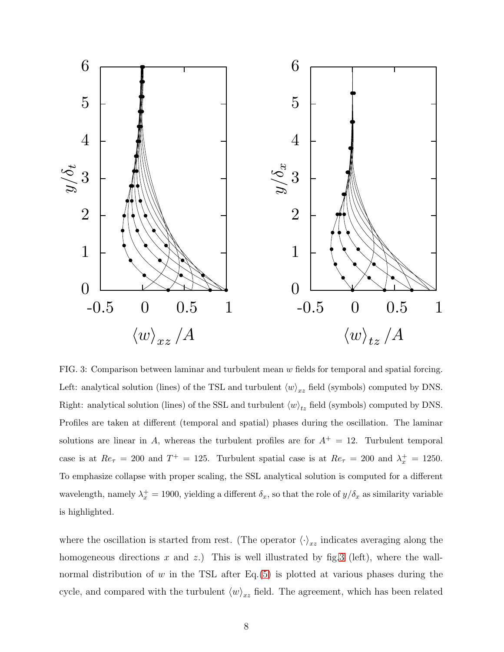

<span id="page-7-0"></span>FIG. 3: Comparison between laminar and turbulent mean w fields for temporal and spatial forcing. Left: analytical solution (lines) of the TSL and turbulent  $\langle w \rangle_{xz}$  field (symbols) computed by DNS. Right: analytical solution (lines) of the SSL and turbulent  $\langle w \rangle_{tz}$  field (symbols) computed by DNS. Profiles are taken at different (temporal and spatial) phases during the oscillation. The laminar solutions are linear in A, whereas the turbulent profiles are for  $A^+=12$ . Turbulent temporal case is at  $Re_\tau = 200$  and  $T^+ = 125$ . Turbulent spatial case is at  $Re_\tau = 200$  and  $\lambda_x^+ = 1250$ . To emphasize collapse with proper scaling, the SSL analytical solution is computed for a different wavelength, namely  $\lambda_x^+ = 1900$ , yielding a different  $\delta_x$ , so that the role of  $y/\delta_x$  as similarity variable is highlighted.

where the oscillation is started from rest. (The operator  $\langle \cdot \rangle_{xz}$  indicates averaging along the homogeneous directions x and z.) This is well illustrated by fig. 3 (left), where the wallnormal distribution of  $w$  in the TSL after Eq.[\(5\)](#page-5-1) is plotted at various phases during the cycle, and compared with the turbulent  $\langle w \rangle_{xz}$  field. The agreement, which has been related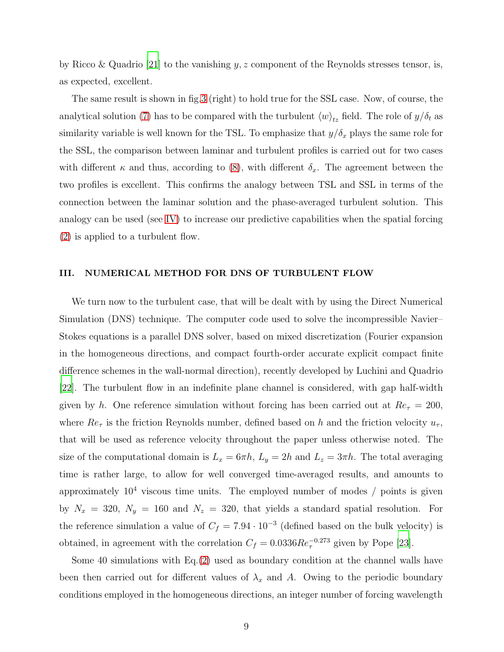by Ricco & Quadrio [\[21](#page-23-12)] to the vanishing  $y, z$  component of the Reynolds stresses tensor, is, as expected, excellent.

The same result is shown in fig[.3](#page-7-0) (right) to hold true for the SSL case. Now, of course, the analytical solution [\(7\)](#page-6-0) has to be compared with the turbulent  $\langle w \rangle_{tz}$  field. The role of  $y/\delta_t$  as similarity variable is well known for the TSL. To emphasize that  $y/\delta_x$  plays the same role for the SSL, the comparison between laminar and turbulent profiles is carried out for two cases with different  $\kappa$  and thus, according to [\(8\)](#page-6-1), with different  $\delta_x$ . The agreement between the two profiles is excellent. This confirms the analogy between TSL and SSL in terms of the connection between the laminar solution and the phase-averaged turbulent solution. This analogy can be used (see [IV\)](#page-9-0) to increase our predictive capabilities when the spatial forcing [\(2\)](#page-2-0) is applied to a turbulent flow.

# <span id="page-8-0"></span>III. NUMERICAL METHOD FOR DNS OF TURBULENT FLOW

We turn now to the turbulent case, that will be dealt with by using the Direct Numerical Simulation (DNS) technique. The computer code used to solve the incompressible Navier– Stokes equations is a parallel DNS solver, based on mixed discretization (Fourier expansion in the homogeneous directions, and compact fourth-order accurate explicit compact finite difference schemes in the wall-normal direction), recently developed by Luchini and Quadrio [\[22](#page-23-13)]. The turbulent flow in an indefinite plane channel is considered, with gap half-width given by h. One reference simulation without forcing has been carried out at  $Re_\tau = 200$ , where  $Re_\tau$  is the friction Reynolds number, defined based on h and the friction velocity  $u_\tau$ , that will be used as reference velocity throughout the paper unless otherwise noted. The size of the computational domain is  $L_x = 6\pi h$ ,  $L_y = 2h$  and  $L_z = 3\pi h$ . The total averaging time is rather large, to allow for well converged time-averaged results, and amounts to approximately  $10^4$  viscous time units. The employed number of modes  $/$  points is given by  $N_x = 320$ ,  $N_y = 160$  and  $N_z = 320$ , that yields a standard spatial resolution. For the reference simulation a value of  $C_f = 7.94 \cdot 10^{-3}$  (defined based on the bulk velocity) is obtained, in agreement with the correlation  $C_f = 0.0336 Re_\tau^{-0.273}$  given by Pope [\[23\]](#page-23-14).

Some 40 simulations with Eq.[\(2\)](#page-2-0) used as boundary condition at the channel walls have been then carried out for different values of  $\lambda_x$  and A. Owing to the periodic boundary conditions employed in the homogeneous directions, an integer number of forcing wavelength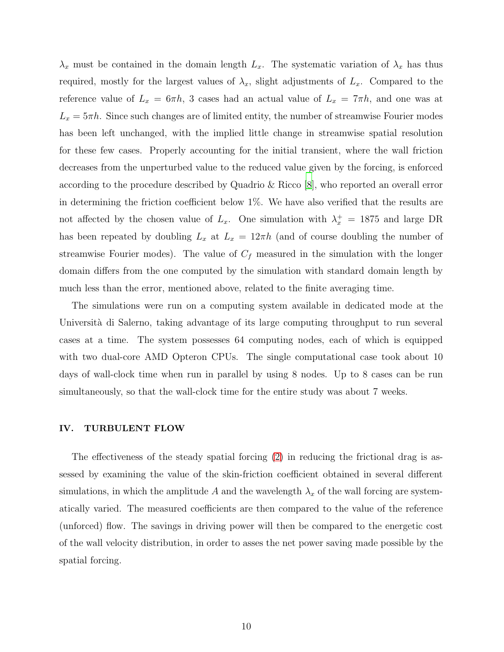$\lambda_x$  must be contained in the domain length  $L_x$ . The systematic variation of  $\lambda_x$  has thus required, mostly for the largest values of  $\lambda_x$ , slight adjustments of  $L_x$ . Compared to the reference value of  $L_x = 6\pi h$ , 3 cases had an actual value of  $L_x = 7\pi h$ , and one was at  $L_x = 5\pi h$ . Since such changes are of limited entity, the number of streamwise Fourier modes has been left unchanged, with the implied little change in streamwise spatial resolution for these few cases. Properly accounting for the initial transient, where the wall friction decreases from the unperturbed value to the reduced value given by the forcing, is enforced according to the procedure described by Quadrio & Ricco [\[8\]](#page-22-7), who reported an overall error in determining the friction coefficient below 1%. We have also verified that the results are not affected by the chosen value of  $L_x$ . One simulation with  $\lambda_x^+ = 1875$  and large DR has been repeated by doubling  $L_x$  at  $L_x = 12\pi h$  (and of course doubling the number of streamwise Fourier modes). The value of  $C_f$  measured in the simulation with the longer domain differs from the one computed by the simulation with standard domain length by much less than the error, mentioned above, related to the finite averaging time.

The simulations were run on a computing system available in dedicated mode at the Università di Salerno, taking advantage of its large computing throughput to run several cases at a time. The system possesses 64 computing nodes, each of which is equipped with two dual-core AMD Opteron CPUs. The single computational case took about 10 days of wall-clock time when run in parallel by using 8 nodes. Up to 8 cases can be run simultaneously, so that the wall-clock time for the entire study was about 7 weeks.

## <span id="page-9-0"></span>IV. TURBULENT FLOW

The effectiveness of the steady spatial forcing [\(2\)](#page-2-0) in reducing the frictional drag is assessed by examining the value of the skin-friction coefficient obtained in several different simulations, in which the amplitude A and the wavelength  $\lambda_x$  of the wall forcing are systematically varied. The measured coefficients are then compared to the value of the reference (unforced) flow. The savings in driving power will then be compared to the energetic cost of the wall velocity distribution, in order to asses the net power saving made possible by the spatial forcing.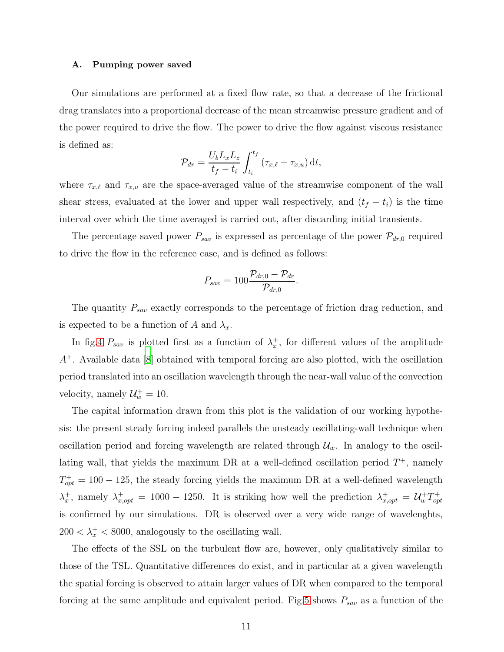#### A. Pumping power saved

Our simulations are performed at a fixed flow rate, so that a decrease of the frictional drag translates into a proportional decrease of the mean streamwise pressure gradient and of the power required to drive the flow. The power to drive the flow against viscous resistance is defined as:

$$
\mathcal{P}_{dr} = \frac{U_b L_x L_z}{t_f - t_i} \int_{t_i}^{t_f} \left( \tau_{x,\ell} + \tau_{x,u} \right) dt,
$$

where  $\tau_{x,\ell}$  and  $\tau_{x,u}$  are the space-averaged value of the streamwise component of the wall shear stress, evaluated at the lower and upper wall respectively, and  $(t_f - t_i)$  is the time interval over which the time averaged is carried out, after discarding initial transients.

The percentage saved power  $P_{sav}$  is expressed as percentage of the power  $\mathcal{P}_{dr,0}$  required to drive the flow in the reference case, and is defined as follows:

$$
P_{sav}=100\frac{\mathcal{P}_{dr,0}-\mathcal{P}_{dr}}{\mathcal{P}_{dr,0}}.
$$

The quantity  $P_{sav}$  exactly corresponds to the percentage of friction drag reduction, and is expected to be a function of A and  $\lambda_x$ .

In fig[.4](#page-11-0)  $P_{sav}$  is plotted first as a function of  $\lambda_x^+$  $x^+$ , for different values of the amplitude A <sup>+</sup>. Available data [\[8](#page-22-7)] obtained with temporal forcing are also plotted, with the oscillation period translated into an oscillation wavelength through the near-wall value of the convection velocity, namely  $\mathcal{U}_w^+ = 10$ .

The capital information drawn from this plot is the validation of our working hypothesis: the present steady forcing indeed parallels the unsteady oscillating-wall technique when oscillation period and forcing wavelength are related through  $\mathcal{U}_w$ . In analogy to the oscillating wall, that yields the maximum DR at a well-defined oscillation period  $T^+$ , namely  $T_{opt}^+ = 100 - 125$ , the steady forcing yields the maximum DR at a well-defined wavelength  $\lambda_x^+$ <sup>+</sup><sub>x</sub>, namely  $\lambda_{x,opt}^+$  = 1000 - 1250. It is striking how well the prediction  $\lambda_{x,opt}^+$  =  $\mathcal{U}_w^+T_{op}^+$ opt is confirmed by our simulations. DR is observed over a very wide range of wavelenghts,  $200 < \lambda_x^+ < 8000$ , analogously to the oscillating wall.

The effects of the SSL on the turbulent flow are, however, only qualitatively similar to those of the TSL. Quantitative differences do exist, and in particular at a given wavelength the spatial forcing is observed to attain larger values of DR when compared to the temporal forcing at the same amplitude and equivalent period. Fig[.5](#page-12-0) shows  $P_{sav}$  as a function of the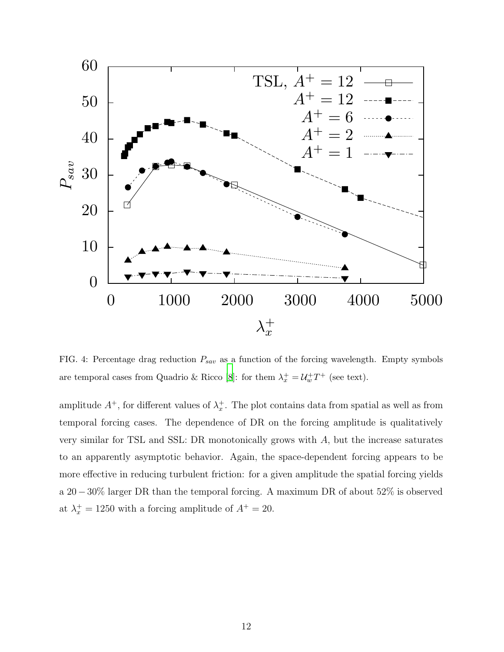

<span id="page-11-0"></span>FIG. 4: Percentage drag reduction  $P_{sav}$  as a function of the forcing wavelength. Empty symbols are temporal cases from Quadrio & Ricco [\[8\]](#page-22-7): for them  $\lambda_x^+ = \mathcal{U}_w^+ T^+$  (see text).

amplitude  $A^+$ , for different values of  $\lambda_x^+$  $x^+$ . The plot contains data from spatial as well as from temporal forcing cases. The dependence of DR on the forcing amplitude is qualitatively very similar for TSL and SSL: DR monotonically grows with A, but the increase saturates to an apparently asymptotic behavior. Again, the space-dependent forcing appears to be more effective in reducing turbulent friction: for a given amplitude the spatial forcing yields a 20−30% larger DR than the temporal forcing. A maximum DR of about 52% is observed at  $\lambda_x^+ = 1250$  with a forcing amplitude of  $A^+ = 20$ .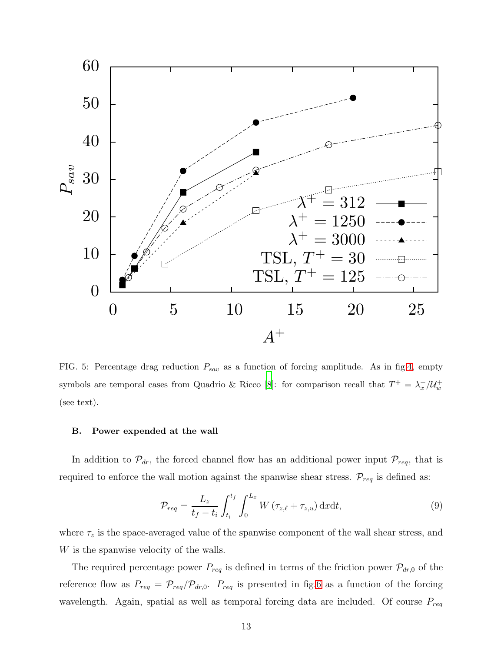

<span id="page-12-0"></span>FIG. 5: Percentage drag reduction  $P_{sav}$  as a function of forcing amplitude. As in fig[.4,](#page-11-0) empty symbols are temporal cases from Quadrio & Ricco [\[8](#page-22-7)]: for comparison recall that  $T^+ = \lambda_x^+/\mathcal{U}_w^+$ (see text).

# B. Power expended at the wall

In addition to  $\mathcal{P}_{dr}$ , the forced channel flow has an additional power input  $\mathcal{P}_{req}$ , that is required to enforce the wall motion against the spanwise shear stress.  $\mathcal{P}_{req}$  is defined as:

$$
\mathcal{P}_{req} = \frac{L_z}{t_f - t_i} \int_{t_i}^{t_f} \int_0^{L_x} W\left(\tau_{z,\ell} + \tau_{z,u}\right) \mathrm{d}x \mathrm{d}t,\tag{9}
$$

where  $\tau_z$  is the space-averaged value of the spanwise component of the wall shear stress, and W is the spanwise velocity of the walls.

The required percentage power  $P_{req}$  is defined in terms of the friction power  $\mathcal{P}_{dr,0}$  of the reference flow as  $P_{req} = \mathcal{P}_{req} / \mathcal{P}_{dr,0}$ .  $P_{req}$  is presented in fig[.6](#page-13-0) as a function of the forcing wavelength. Again, spatial as well as temporal forcing data are included. Of course  $P_{req}$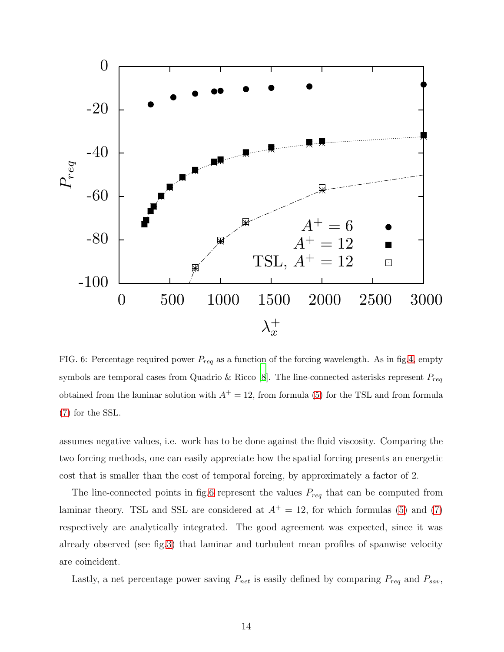

<span id="page-13-0"></span>FIG. 6: Percentage required power  $P_{req}$  as a function of the forcing wavelength. As in fig[.4,](#page-11-0) empty symbols are temporal cases from Quadrio & Ricco [\[8](#page-22-7)]. The line-connected asterisks represent  $P_{req}$ obtained from the laminar solution with  $A^+ = 12$ , from formula [\(5\)](#page-5-1) for the TSL and from formula [\(7\)](#page-6-0) for the SSL.

assumes negative values, i.e. work has to be done against the fluid viscosity. Comparing the two forcing methods, one can easily appreciate how the spatial forcing presents an energetic cost that is smaller than the cost of temporal forcing, by approximately a factor of 2.

The line-connected points in fig[.6](#page-13-0) represent the values  $P_{req}$  that can be computed from laminar theory. TSL and SSL are considered at  $A^+=12$ , for which formulas [\(5\)](#page-5-1) and [\(7\)](#page-6-0) respectively are analytically integrated. The good agreement was expected, since it was already observed (see fig[.3\)](#page-7-0) that laminar and turbulent mean profiles of spanwise velocity are coincident.

Lastly, a net percentage power saving  $P_{net}$  is easily defined by comparing  $P_{req}$  and  $P_{sav}$ ,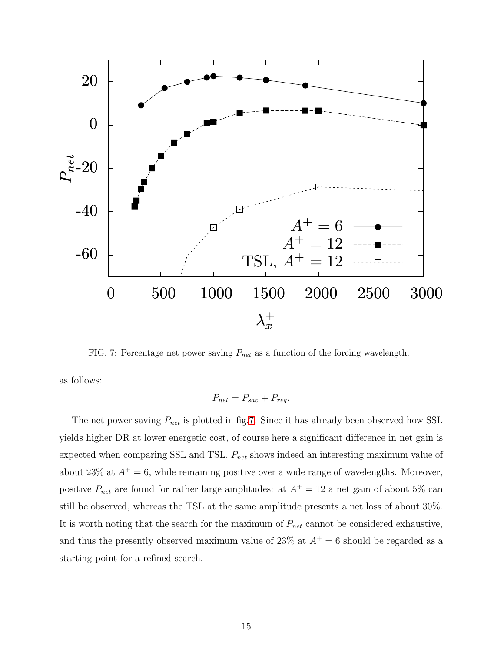

<span id="page-14-0"></span>FIG. 7: Percentage net power saving  $P_{net}$  as a function of the forcing wavelength.

as follows:

$$
P_{net} = P_{sav} + P_{req}.
$$

The net power saving  $P_{net}$  is plotted in fig[.7.](#page-14-0) Since it has already been observed how SSL yields higher DR at lower energetic cost, of course here a significant difference in net gain is expected when comparing SSL and TSL.  $P_{net}$  shows indeed an interesting maximum value of about 23% at  $A^+=6$ , while remaining positive over a wide range of wavelengths. Moreover, positive  $P_{net}$  are found for rather large amplitudes: at  $A^+ = 12$  a net gain of about 5% can still be observed, whereas the TSL at the same amplitude presents a net loss of about 30%. It is worth noting that the search for the maximum of  $P_{net}$  cannot be considered exhaustive, and thus the presently observed maximum value of 23% at  $A^+=6$  should be regarded as a starting point for a refined search.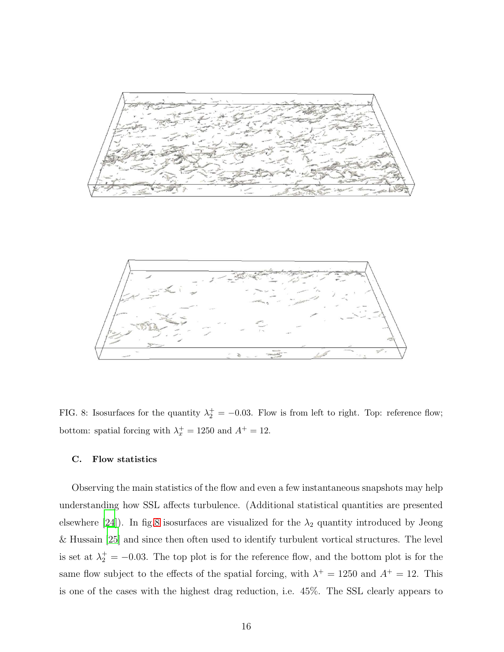



<span id="page-15-0"></span>FIG. 8: Isosurfaces for the quantity  $\lambda_2^+ = -0.03$ . Flow is from left to right. Top: reference flow; bottom: spatial forcing with  $\lambda_x^+ = 1250$  and  $A^+ = 12$ .

# C. Flow statistics

Observing the main statistics of the flow and even a few instantaneous snapshots may help understanding how SSL affects turbulence. (Additional statistical quantities are presented elsewhere [\[24\]](#page-23-15)). In fig[.8](#page-15-0) isosurfaces are visualized for the  $\lambda_2$  quantity introduced by Jeong & Hussain [\[25](#page-24-0)] and since then often used to identify turbulent vortical structures. The level is set at  $\lambda_2^+ = -0.03$ . The top plot is for the reference flow, and the bottom plot is for the same flow subject to the effects of the spatial forcing, with  $\lambda^+ = 1250$  and  $A^+ = 12$ . This is one of the cases with the highest drag reduction, i.e. 45%. The SSL clearly appears to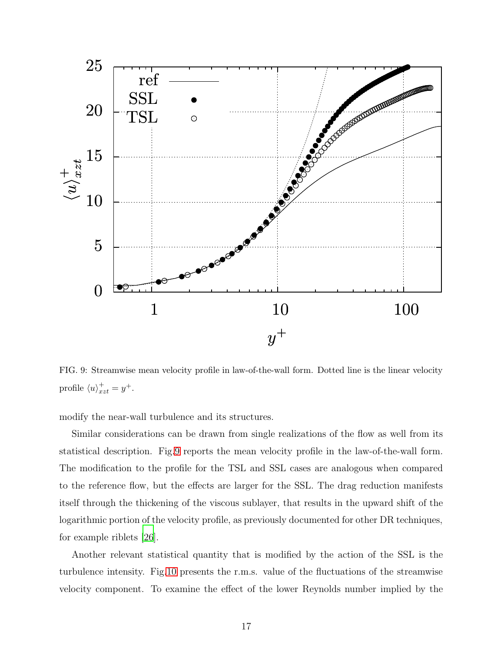

<span id="page-16-0"></span>FIG. 9: Streamwise mean velocity profile in law-of-the-wall form. Dotted line is the linear velocity profile  $\langle u \rangle_{xzt}^+ = y^+.$ 

modify the near-wall turbulence and its structures.

Similar considerations can be drawn from single realizations of the flow as well from its statistical description. Fig[.9](#page-16-0) reports the mean velocity profile in the law-of-the-wall form. The modification to the profile for the TSL and SSL cases are analogous when compared to the reference flow, but the effects are larger for the SSL. The drag reduction manifests itself through the thickening of the viscous sublayer, that results in the upward shift of the logarithmic portion of the velocity profile, as previously documented for other DR techniques, for example riblets [\[26\]](#page-24-1).

Another relevant statistical quantity that is modified by the action of the SSL is the turbulence intensity. Fig[.10](#page-17-0) presents the r.m.s. value of the fluctuations of the streamwise velocity component. To examine the effect of the lower Reynolds number implied by the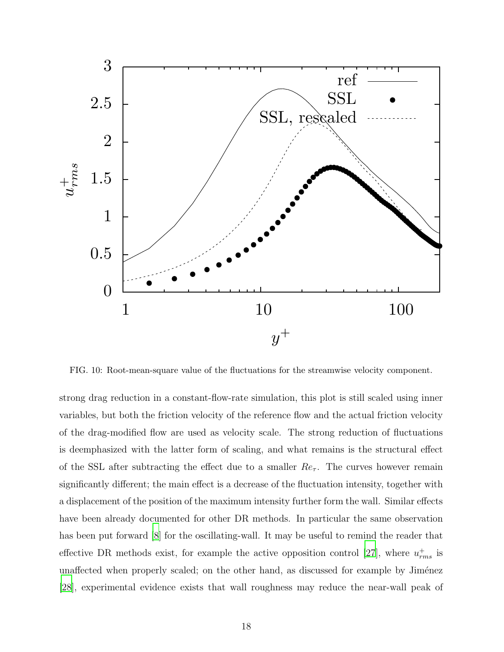

<span id="page-17-0"></span>FIG. 10: Root-mean-square value of the fluctuations for the streamwise velocity component.

strong drag reduction in a constant-flow-rate simulation, this plot is still scaled using inner variables, but both the friction velocity of the reference flow and the actual friction velocity of the drag-modified flow are used as velocity scale. The strong reduction of fluctuations is deemphasized with the latter form of scaling, and what remains is the structural effect of the SSL after subtracting the effect due to a smaller  $Re_\tau$ . The curves however remain significantly different; the main effect is a decrease of the fluctuation intensity, together with a displacement of the position of the maximum intensity further form the wall. Similar effects have been already documented for other DR methods. In particular the same observation has been put forward  $[8]$  for the oscillating-wall. It may be useful to remind the reader that effective DR methods exist, for example the active opposition control [\[27](#page-24-2)], where  $u_{rms}^+$  is unaffected when properly scaled; on the other hand, as discussed for example by Jiménez [\[28\]](#page-24-3), experimental evidence exists that wall roughness may reduce the near-wall peak of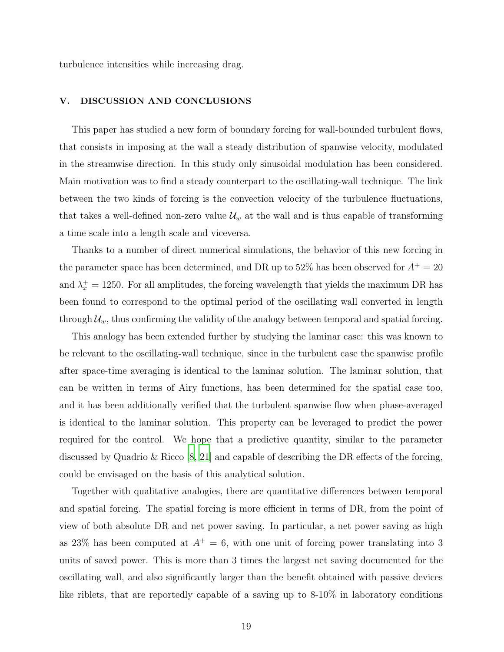turbulence intensities while increasing drag.

# <span id="page-18-0"></span>V. DISCUSSION AND CONCLUSIONS

This paper has studied a new form of boundary forcing for wall-bounded turbulent flows, that consists in imposing at the wall a steady distribution of spanwise velocity, modulated in the streamwise direction. In this study only sinusoidal modulation has been considered. Main motivation was to find a steady counterpart to the oscillating-wall technique. The link between the two kinds of forcing is the convection velocity of the turbulence fluctuations, that takes a well-defined non-zero value  $\mathcal{U}_w$  at the wall and is thus capable of transforming a time scale into a length scale and viceversa.

Thanks to a number of direct numerical simulations, the behavior of this new forcing in the parameter space has been determined, and DR up to 52% has been observed for  $A^+=\rm 20$ and  $\lambda_x^+ = 1250$ . For all amplitudes, the forcing wavelength that yields the maximum DR has been found to correspond to the optimal period of the oscillating wall converted in length through  $\mathcal{U}_w$ , thus confirming the validity of the analogy between temporal and spatial forcing.

This analogy has been extended further by studying the laminar case: this was known to be relevant to the oscillating-wall technique, since in the turbulent case the spanwise profile after space-time averaging is identical to the laminar solution. The laminar solution, that can be written in terms of Airy functions, has been determined for the spatial case too, and it has been additionally verified that the turbulent spanwise flow when phase-averaged is identical to the laminar solution. This property can be leveraged to predict the power required for the control. We hope that a predictive quantity, similar to the parameter discussed by Quadrio & Ricco [\[8](#page-22-7), [21\]](#page-23-12) and capable of describing the DR effects of the forcing, could be envisaged on the basis of this analytical solution.

Together with qualitative analogies, there are quantitative differences between temporal and spatial forcing. The spatial forcing is more efficient in terms of DR, from the point of view of both absolute DR and net power saving. In particular, a net power saving as high as 23% has been computed at  $A^+=6$ , with one unit of forcing power translating into 3 units of saved power. This is more than 3 times the largest net saving documented for the oscillating wall, and also significantly larger than the benefit obtained with passive devices like riblets, that are reportedly capable of a saving up to 8-10% in laboratory conditions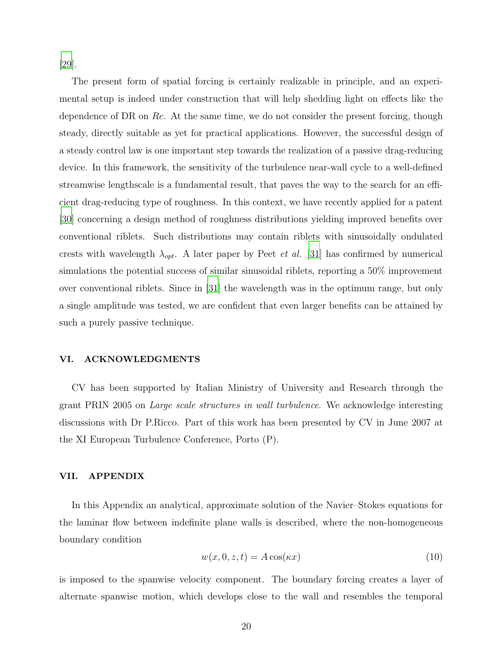[\[29\]](#page-24-4).

The present form of spatial forcing is certainly realizable in principle, and an experimental setup is indeed under construction that will help shedding light on effects like the dependence of DR on  $Re$ . At the same time, we do not consider the present forcing, though steady, directly suitable as yet for practical applications. However, the successful design of a steady control law is one important step towards the realization of a passive drag-reducing device. In this framework, the sensitivity of the turbulence near-wall cycle to a well-defined streamwise lengthscale is a fundamental result, that paves the way to the search for an efficient drag-reducing type of roughness. In this context, we have recently applied for a patent [\[30\]](#page-24-5) concerning a design method of roughness distributions yielding improved benefits over conventional riblets. Such distributions may contain riblets with sinusoidally ondulated crests with wavelength  $\lambda_{opt}$ . A later paper by Peet *et al.* [\[31](#page-24-6)] has confirmed by numerical simulations the potential success of similar sinusoidal riblets, reporting a 50% improvement over conventional riblets. Since in [\[31\]](#page-24-6) the wavelength was in the optimum range, but only a single amplitude was tested, we are confident that even larger benefits can be attained by such a purely passive technique.

# VI. ACKNOWLEDGMENTS

CV has been supported by Italian Ministry of University and Research through the grant PRIN 2005 on Large scale structures in wall turbulence. We acknowledge interesting discussions with Dr P.Ricco. Part of this work has been presented by CV in June 2007 at the XI European Turbulence Conference, Porto (P).

# <span id="page-19-0"></span>VII. APPENDIX

In this Appendix an analytical, approximate solution of the Navier–Stokes equations for the laminar flow between indefinite plane walls is described, where the non-homogeneous boundary condition

<span id="page-19-1"></span>
$$
w(x,0,z,t) = A\cos(\kappa x)
$$
\n(10)

is imposed to the spanwise velocity component. The boundary forcing creates a layer of alternate spanwise motion, which develops close to the wall and resembles the temporal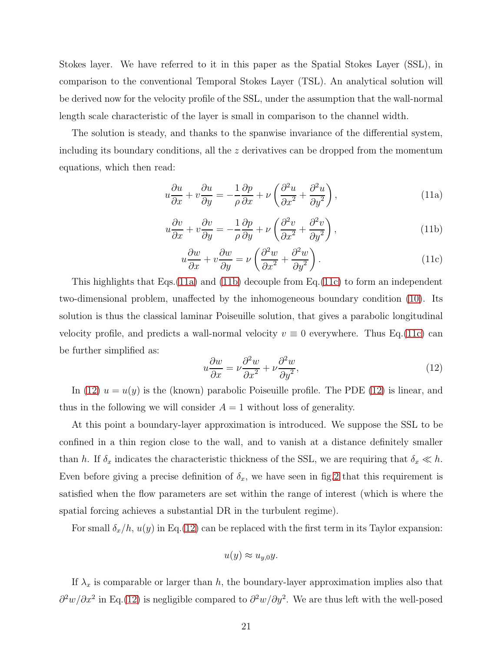Stokes layer. We have referred to it in this paper as the Spatial Stokes Layer (SSL), in comparison to the conventional Temporal Stokes Layer (TSL). An analytical solution will be derived now for the velocity profile of the SSL, under the assumption that the wall-normal length scale characteristic of the layer is small in comparison to the channel width.

The solution is steady, and thanks to the spanwise invariance of the differential system, including its boundary conditions, all the z derivatives can be dropped from the momentum equations, which then read:

<span id="page-20-0"></span>
$$
u\frac{\partial u}{\partial x} + v\frac{\partial u}{\partial y} = -\frac{1}{\rho}\frac{\partial p}{\partial x} + \nu \left(\frac{\partial^2 u}{\partial x^2} + \frac{\partial^2 u}{\partial y^2}\right),\tag{11a}
$$

<span id="page-20-1"></span>
$$
u\frac{\partial v}{\partial x} + v\frac{\partial v}{\partial y} = -\frac{1}{\rho}\frac{\partial p}{\partial y} + \nu \left(\frac{\partial^2 v}{\partial x^2} + \frac{\partial^2 v}{\partial y^2}\right),\tag{11b}
$$

<span id="page-20-2"></span>
$$
u\frac{\partial w}{\partial x} + v\frac{\partial w}{\partial y} = \nu \left(\frac{\partial^2 w}{\partial x^2} + \frac{\partial^2 w}{\partial y^2}\right).
$$
 (11c)

This highlights that Eqs.[\(11a\)](#page-20-0) and [\(11b\)](#page-20-1) decouple from Eq.[\(11c\)](#page-20-2) to form an independent two-dimensional problem, unaffected by the inhomogeneous boundary condition [\(10\)](#page-19-1). Its solution is thus the classical laminar Poiseuille solution, that gives a parabolic longitudinal velocity profile, and predicts a wall-normal velocity  $v \equiv 0$  everywhere. Thus Eq.[\(11c\)](#page-20-2) can be further simplified as:

<span id="page-20-3"></span>
$$
u\frac{\partial w}{\partial x} = \nu \frac{\partial^2 w}{\partial x^2} + \nu \frac{\partial^2 w}{\partial y^2},\tag{12}
$$

In [\(12\)](#page-20-3)  $u = u(y)$  is the (known) parabolic Poiseuille profile. The PDE (12) is linear, and thus in the following we will consider  $A = 1$  without loss of generality.

At this point a boundary-layer approximation is introduced. We suppose the SSL to be confined in a thin region close to the wall, and to vanish at a distance definitely smaller than h. If  $\delta_x$  indicates the characteristic thickness of the SSL, we are requiring that  $\delta_x \ll h$ . Even before giving a precise definition of  $\delta_x$ , we have seen in fig[.2](#page-5-0) that this requirement is satisfied when the flow parameters are set within the range of interest (which is where the spatial forcing achieves a substantial DR in the turbulent regime).

For small  $\delta_x/h$ ,  $u(y)$  in Eq.[\(12\)](#page-20-3) can be replaced with the first term in its Taylor expansion:

$$
u(y) \approx u_{y,0}y.
$$

If  $\lambda_x$  is comparable or larger than h, the boundary-layer approximation implies also that  $\partial^2 w / \partial x^2$  in Eq.[\(12\)](#page-20-3) is negligible compared to  $\partial^2 w / \partial y^2$ . We are thus left with the well-posed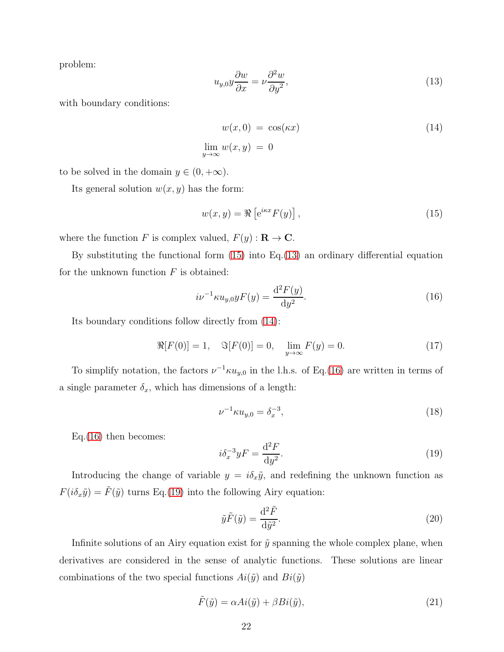problem:

<span id="page-21-1"></span>
$$
u_{y,0}y\frac{\partial w}{\partial x} = \nu \frac{\partial^2 w}{\partial y^2},\tag{13}
$$

with boundary conditions:

<span id="page-21-2"></span>
$$
w(x,0) = \cos(\kappa x)
$$
  
\n
$$
\lim_{y \to \infty} w(x,y) = 0
$$
\n(14)

to be solved in the domain  $y \in (0, +\infty)$ .

Its general solution  $w(x, y)$  has the form:

<span id="page-21-0"></span>
$$
w(x,y) = \Re\left[e^{ikx}F(y)\right],\tag{15}
$$

where the function F is complex valued,  $F(y) : \mathbf{R} \to \mathbf{C}$ .

By substituting the functional form [\(15\)](#page-21-0) into Eq.[\(13\)](#page-21-1) an ordinary differential equation for the unknown function  $F$  is obtained:

<span id="page-21-3"></span>
$$
i\nu^{-1}\kappa u_{y,0}yF(y) = \frac{\mathrm{d}^2F(y)}{\mathrm{d}y^2}.
$$
 (16)

Its boundary conditions follow directly from [\(14\)](#page-21-2):

<span id="page-21-6"></span>
$$
\Re[F(0)] = 1, \quad \Im[F(0)] = 0, \quad \lim_{y \to \infty} F(y) = 0. \tag{17}
$$

To simplify notation, the factors  $\nu^{-1} \kappa u_{y,0}$  in the l.h.s. of Eq.[\(16\)](#page-21-3) are written in terms of a single parameter  $\delta_x$ , which has dimensions of a length:

$$
\nu^{-1} \kappa u_{y,0} = \delta_x^{-3},\tag{18}
$$

Eq.[\(16\)](#page-21-3) then becomes:

<span id="page-21-4"></span>
$$
i\delta_x^{-3}yF = \frac{\mathrm{d}^2F}{\mathrm{d}y^2}.\tag{19}
$$

Introducing the change of variable  $y = i\delta_x \tilde{y}$ , and redefining the unknown function as  $F(i\delta_x\tilde{y}) = \tilde{F}(\tilde{y})$  turns Eq.[\(19\)](#page-21-4) into the following Airy equation:

$$
\tilde{y}\tilde{F}(\tilde{y}) = \frac{\mathrm{d}^2\tilde{F}}{\mathrm{d}\tilde{y}^2}.\tag{20}
$$

Infinite solutions of an Airy equation exist for  $\tilde{y}$  spanning the whole complex plane, when derivatives are considered in the sense of analytic functions. These solutions are linear combinations of the two special functions  $Ai(\tilde{y})$  and  $Bi(\tilde{y})$ 

<span id="page-21-5"></span>
$$
\tilde{F}(\tilde{y}) = \alpha Ai(\tilde{y}) + \beta Bi(\tilde{y}),\tag{21}
$$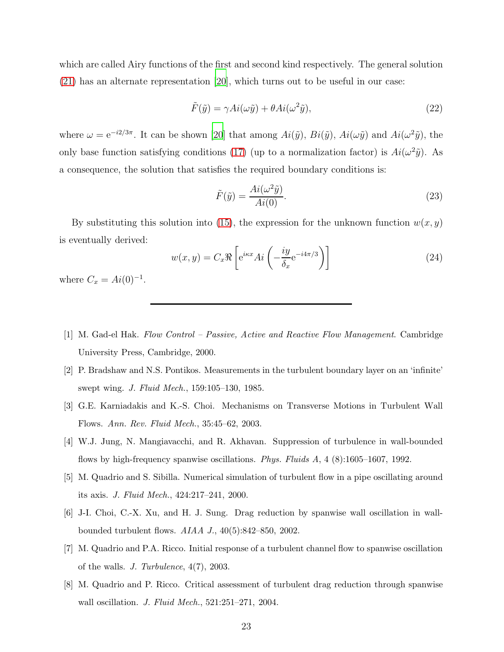which are called Airy functions of the first and second kind respectively. The general solution [\(21\)](#page-21-5) has an alternate representation [\[20\]](#page-23-11), which turns out to be useful in our case:

$$
\tilde{F}(\tilde{y}) = \gamma Ai(\omega \tilde{y}) + \theta Ai(\omega^2 \tilde{y}), \qquad (22)
$$

where  $\omega = e^{-i2/3\pi}$ . It can be shown [\[20](#page-23-11)] that among  $Ai(\tilde{y})$ ,  $Bi(\tilde{y})$ ,  $Ai(\omega \tilde{y})$  and  $Ai(\omega^2 \tilde{y})$ , the only base function satisfying conditions [\(17\)](#page-21-6) (up to a normalization factor) is  $Ai(\omega^2 \tilde{y})$ . As a consequence, the solution that satisfies the required boundary conditions is:

$$
\tilde{F}(\tilde{y}) = \frac{Ai(\omega^2 \tilde{y})}{Ai(0)}.
$$
\n(23)

By substituting this solution into [\(15\)](#page-21-0), the expression for the unknown function  $w(x, y)$ is eventually derived:

$$
w(x,y) = C_x \Re \left[ e^{i\kappa x} Ai \left( -\frac{iy}{\delta_x} e^{-i4\pi/3} \right) \right]
$$
 (24)

where  $C_x = Ai(0)^{-1}$ .

- <span id="page-22-0"></span>[1] M. Gad-el Hak. Flow Control – Passive, Active and Reactive Flow Management. Cambridge University Press, Cambridge, 2000.
- <span id="page-22-1"></span>[2] P. Bradshaw and N.S. Pontikos. Measurements in the turbulent boundary layer on an 'infinite' swept wing. J. Fluid Mech., 159:105–130, 1985.
- <span id="page-22-2"></span>[3] G.E. Karniadakis and K.-S. Choi. Mechanisms on Transverse Motions in Turbulent Wall Flows. Ann. Rev. Fluid Mech., 35:45–62, 2003.
- <span id="page-22-3"></span>[4] W.J. Jung, N. Mangiavacchi, and R. Akhavan. Suppression of turbulence in wall-bounded flows by high-frequency spanwise oscillations. Phys. Fluids A, 4 (8):1605–1607, 1992.
- <span id="page-22-4"></span>[5] M. Quadrio and S. Sibilla. Numerical simulation of turbulent flow in a pipe oscillating around its axis. J. Fluid Mech., 424:217–241, 2000.
- <span id="page-22-5"></span>[6] J-I. Choi, C.-X. Xu, and H. J. Sung. Drag reduction by spanwise wall oscillation in wallbounded turbulent flows. AIAA J., 40(5):842–850, 2002.
- <span id="page-22-6"></span>[7] M. Quadrio and P.A. Ricco. Initial response of a turbulent channel flow to spanwise oscillation of the walls. J. Turbulence, 4(7), 2003.
- <span id="page-22-7"></span>[8] M. Quadrio and P. Ricco. Critical assessment of turbulent drag reduction through spanwise wall oscillation. J. Fluid Mech., 521:251–271, 2004.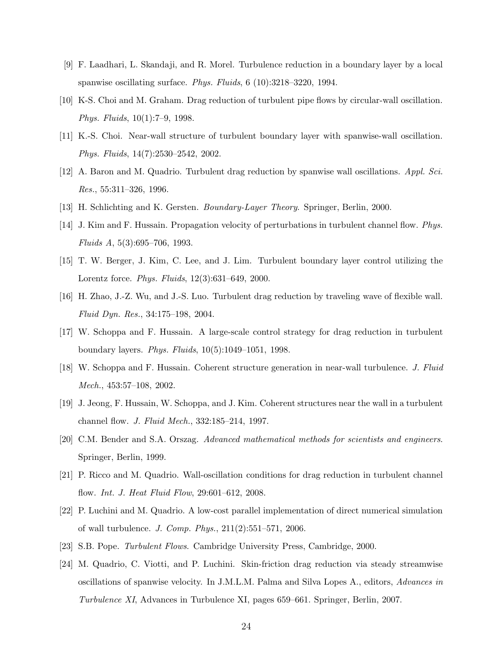- <span id="page-23-0"></span>[9] F. Laadhari, L. Skandaji, and R. Morel. Turbulence reduction in a boundary layer by a local spanwise oscillating surface. Phys. Fluids, 6 (10):3218–3220, 1994.
- <span id="page-23-1"></span>[10] K-S. Choi and M. Graham. Drag reduction of turbulent pipe flows by circular-wall oscillation. Phys. Fluids, 10(1):7–9, 1998.
- <span id="page-23-2"></span>[11] K.-S. Choi. Near-wall structure of turbulent boundary layer with spanwise-wall oscillation. Phys. Fluids, 14(7):2530–2542, 2002.
- <span id="page-23-3"></span>[12] A. Baron and M. Quadrio. Turbulent drag reduction by spanwise wall oscillations. Appl. Sci. Res., 55:311–326, 1996.
- <span id="page-23-5"></span><span id="page-23-4"></span>[13] H. Schlichting and K. Gersten. Boundary-Layer Theory. Springer, Berlin, 2000.
- [14] J. Kim and F. Hussain. Propagation velocity of perturbations in turbulent channel flow. Phys. Fluids A, 5(3):695–706, 1993.
- <span id="page-23-6"></span>[15] T. W. Berger, J. Kim, C. Lee, and J. Lim. Turbulent boundary layer control utilizing the Lorentz force. Phys. Fluids, 12(3):631–649, 2000.
- <span id="page-23-7"></span>[16] H. Zhao, J.-Z. Wu, and J.-S. Luo. Turbulent drag reduction by traveling wave of flexible wall. Fluid Dyn. Res., 34:175–198, 2004.
- <span id="page-23-8"></span>[17] W. Schoppa and F. Hussain. A large-scale control strategy for drag reduction in turbulent boundary layers. Phys. Fluids, 10(5):1049–1051, 1998.
- <span id="page-23-9"></span>[18] W. Schoppa and F. Hussain. Coherent structure generation in near-wall turbulence. J. Fluid Mech., 453:57–108, 2002.
- <span id="page-23-10"></span>[19] J. Jeong, F. Hussain, W. Schoppa, and J. Kim. Coherent structures near the wall in a turbulent channel flow. J. Fluid Mech., 332:185–214, 1997.
- <span id="page-23-11"></span>[20] C.M. Bender and S.A. Orszag. Advanced mathematical methods for scientists and engineers. Springer, Berlin, 1999.
- <span id="page-23-12"></span>[21] P. Ricco and M. Quadrio. Wall-oscillation conditions for drag reduction in turbulent channel flow. Int. J. Heat Fluid Flow, 29:601–612, 2008.
- <span id="page-23-13"></span>[22] P. Luchini and M. Quadrio. A low-cost parallel implementation of direct numerical simulation of wall turbulence. J. Comp. Phys., 211(2):551–571, 2006.
- <span id="page-23-14"></span>[23] S.B. Pope. Turbulent Flows. Cambridge University Press, Cambridge, 2000.
- <span id="page-23-15"></span>[24] M. Quadrio, C. Viotti, and P. Luchini. Skin-friction drag reduction via steady streamwise oscillations of spanwise velocity. In J.M.L.M. Palma and Silva Lopes A., editors, Advances in Turbulence XI, Advances in Turbulence XI, pages 659–661. Springer, Berlin, 2007.